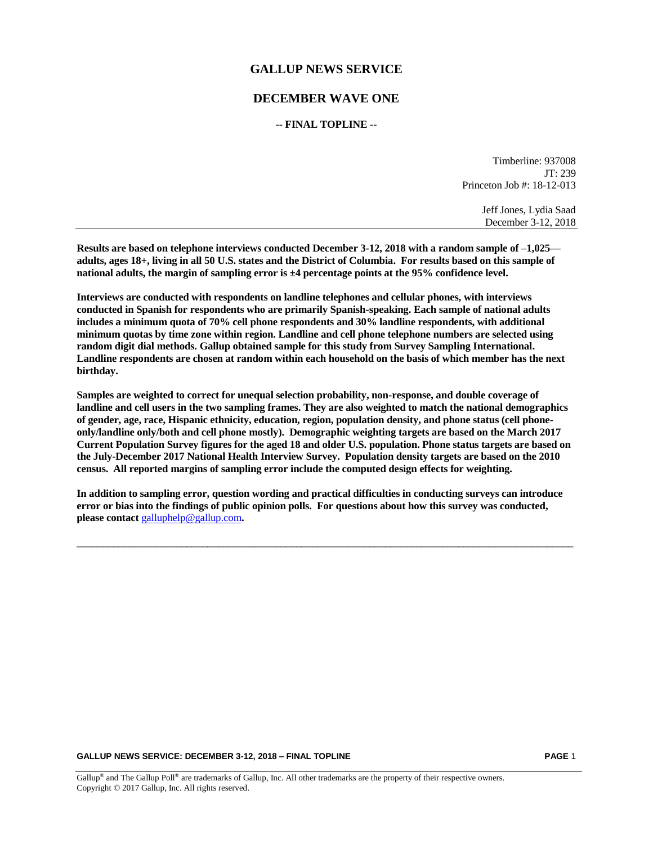# **GALLUP NEWS SERVICE**

# **DECEMBER WAVE ONE**

### **-- FINAL TOPLINE --**

Timberline: 937008 JT: 239 Princeton Job #: 18-12-013

> Jeff Jones, Lydia Saad December 3-12, 2018

**Results are based on telephone interviews conducted December 3-12, 2018 with a random sample of –1,025 adults, ages 18+, living in all 50 U.S. states and the District of Columbia. For results based on this sample of national adults, the margin of sampling error is ±4 percentage points at the 95% confidence level.** 

**Interviews are conducted with respondents on landline telephones and cellular phones, with interviews conducted in Spanish for respondents who are primarily Spanish-speaking. Each sample of national adults includes a minimum quota of 70% cell phone respondents and 30% landline respondents, with additional minimum quotas by time zone within region. Landline and cell phone telephone numbers are selected using random digit dial methods. Gallup obtained sample for this study from Survey Sampling International. Landline respondents are chosen at random within each household on the basis of which member has the next birthday.**

**Samples are weighted to correct for unequal selection probability, non-response, and double coverage of landline and cell users in the two sampling frames. They are also weighted to match the national demographics of gender, age, race, Hispanic ethnicity, education, region, population density, and phone status (cell phoneonly/landline only/both and cell phone mostly). Demographic weighting targets are based on the March 2017 Current Population Survey figures for the aged 18 and older U.S. population. Phone status targets are based on the July-December 2017 National Health Interview Survey. Population density targets are based on the 2010 census. All reported margins of sampling error include the computed design effects for weighting.** 

**In addition to sampling error, question wording and practical difficulties in conducting surveys can introduce error or bias into the findings of public opinion polls. For questions about how this survey was conducted, please contact** [galluphelp@gallup.com](mailto:galluphelp@gallup.com)**.**

 $\_$  ,  $\_$  ,  $\_$  ,  $\_$  ,  $\_$  ,  $\_$  ,  $\_$  ,  $\_$  ,  $\_$  ,  $\_$  ,  $\_$  ,  $\_$  ,  $\_$  ,  $\_$  ,  $\_$  ,  $\_$  ,  $\_$  ,  $\_$  ,  $\_$  ,  $\_$  ,  $\_$  ,  $\_$  ,  $\_$  ,  $\_$  ,  $\_$  ,  $\_$  ,  $\_$  ,  $\_$  ,  $\_$  ,  $\_$  ,  $\_$  ,  $\_$  ,  $\_$  ,  $\_$  ,  $\_$  ,  $\_$  ,  $\_$  ,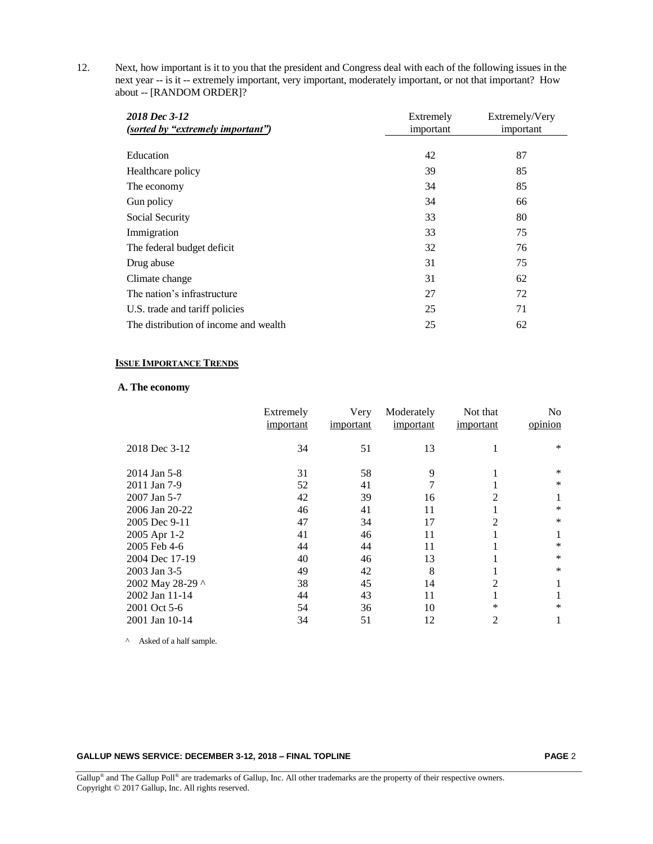12. Next, how important is it to you that the president and Congress deal with each of the following issues in the next year -- is it -- extremely important, very important, moderately important, or not that important? How about -- [RANDOM ORDER]?

| 2018 Dec 3-12                         | Extremely | Extremely/Very |
|---------------------------------------|-----------|----------------|
| (sorted by "extremely important")     | important | important      |
|                                       |           |                |
| Education                             | 42        | 87             |
| Healthcare policy                     | 39        | 85             |
| The economy                           | 34        | 85             |
| Gun policy                            | 34        | 66             |
| Social Security                       | 33        | 80             |
| Immigration                           | 33        | 75             |
| The federal budget deficit            | 32        | 76             |
| Drug abuse                            | 31        | 75             |
| Climate change                        | 31        | 62             |
| The nation's infrastructure           | 27        | 72             |
| U.S. trade and tariff policies        | 25        | 71             |
| The distribution of income and wealth | 25        | 62             |

### **ISSUE IMPORTANCE TRENDS**

# **A. The economy**

|                  | Extremely<br>important | Very<br>important | Moderately<br>important | Not that<br>important | No<br>opinion |
|------------------|------------------------|-------------------|-------------------------|-----------------------|---------------|
| 2018 Dec 3-12    | 34                     | 51                | 13                      |                       | $\ast$        |
| 2014 Jan 5-8     | 31                     | 58                | 9                       |                       | $\ast$        |
| 2011 Jan 7-9     | 52                     | 41                | 7                       |                       | $\ast$        |
| 2007 Jan 5-7     | 42                     | 39                | 16                      | 2                     |               |
| 2006 Jan 20-22   | 46                     | 41                | 11                      |                       | $\ast$        |
| 2005 Dec 9-11    | 47                     | 34                | 17                      | 2                     | *             |
| 2005 Apr 1-2     | 41                     | 46                | 11                      |                       | 1             |
| 2005 Feb 4-6     | 44                     | 44                | 11                      |                       | *             |
| 2004 Dec 17-19   | 40                     | 46                | 13                      |                       | $\ast$        |
| 2003 Jan 3-5     | 49                     | 42                | 8                       |                       | $\ast$        |
| 2002 May 28-29 ^ | 38                     | 45                | 14                      | 2                     |               |
| 2002 Jan 11-14   | 44                     | 43                | 11                      |                       |               |
| 2001 Oct 5-6     | 54                     | 36                | 10                      | *                     | *             |
| 2001 Jan 10-14   | 34                     | 51                | 12                      | 2                     |               |

^ Asked of a half sample.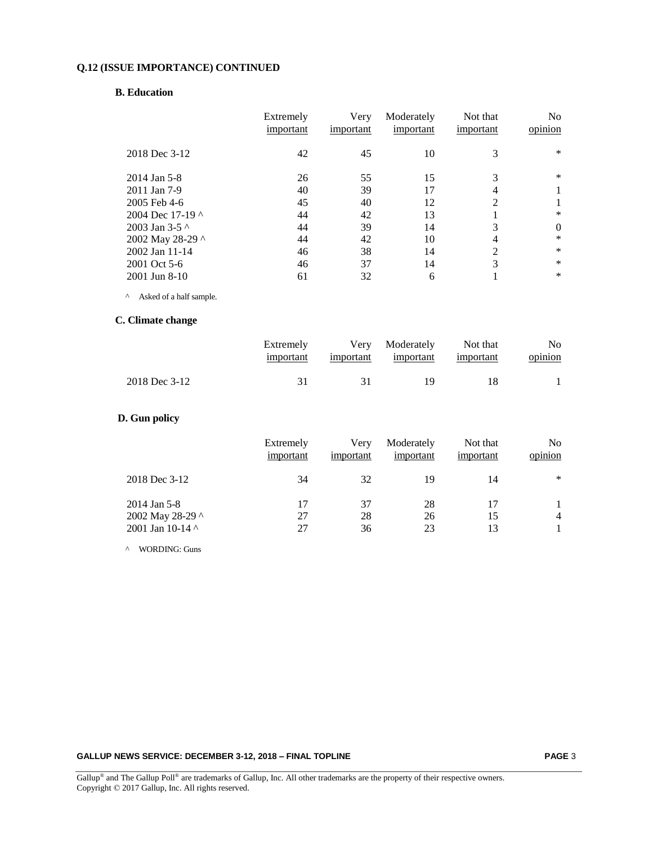# **Q.12 (ISSUE IMPORTANCE) CONTINUED**

#### **B. Education**

|                        | Extremely<br>important | Very<br>important | Moderately<br>important | Not that<br>important | N <sub>0</sub><br>opinion |
|------------------------|------------------------|-------------------|-------------------------|-----------------------|---------------------------|
| 2018 Dec 3-12          | 42                     | 45                | 10                      | 3                     | $\ast$                    |
| 2014 Jan 5-8           | 26                     | 55                | 15                      | 3                     | $\ast$                    |
| 2011 Jan 7-9           | 40                     | 39                | 17                      | 4                     |                           |
| 2005 Feb 4-6           | 45                     | 40                | 12                      | $\overline{2}$        |                           |
| 2004 Dec 17-19 $\land$ | 44                     | 42                | 13                      |                       | $\ast$                    |
| 2003 Jan 3-5 $\land$   | 44                     | 39                | 14                      | 3                     | $\Omega$                  |
| 2002 May 28-29 ^       | 44                     | 42                | 10                      | 4                     | $\ast$                    |
| 2002 Jan 11-14         | 46                     | 38                | 14                      | $\overline{2}$        | $\ast$                    |
| 2001 Oct 5-6           | 46                     | 37                | 14                      | 3                     | $\ast$                    |
| 2001 Jun 8-10          | 61                     | 32                | 6                       |                       | $\ast$                    |

 $\wedge$  Asked of a half sample.

# **C. Climate change**

|               | Extremely<br>important |      | Very Moderately<br>important important | Not that<br>important | No.<br>opinion |
|---------------|------------------------|------|----------------------------------------|-----------------------|----------------|
| 2018 Dec 3-12 | 31                     | -31- | 19                                     | 18                    |                |

# **D. Gun policy**

|                                  | Extremely<br>important | Very<br>important | Moderately<br>important | Not that<br>important | N <sub>o</sub><br>$\cdot$ $\cdot$<br>opinion |
|----------------------------------|------------------------|-------------------|-------------------------|-----------------------|----------------------------------------------|
| 2018 Dec 3-12                    | 34                     | 32                | 19                      | 14                    | ∗                                            |
| 2014 Jan 5-8<br>2002 May 28-29 ^ | 17<br>27               | 37<br>28          | 28<br>26                | 17<br>15              | 4                                            |
| 2001 Jan 10-14 $\land$           | 27                     | 36                | 23                      | 13                    |                                              |

^ WORDING: Guns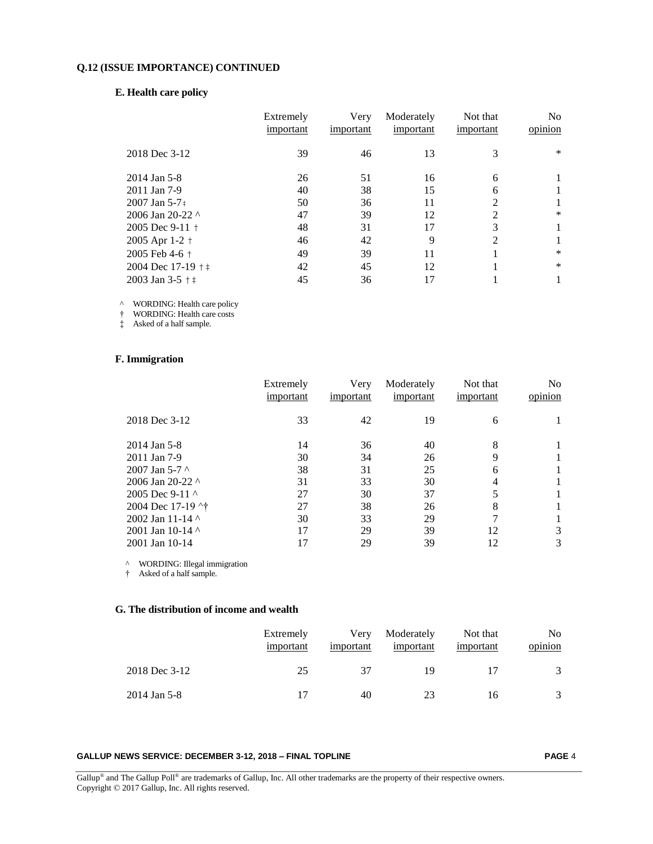### **Q.12 (ISSUE IMPORTANCE) CONTINUED**

### **E. Health care policy**

|                          | Extremely | Very      | Moderately | Not that      | N <sub>0</sub> |
|--------------------------|-----------|-----------|------------|---------------|----------------|
|                          | important | important | important  | important     | opinion        |
| 2018 Dec 3-12            | 39        | 46        | 13         | 3             | $\ast$         |
| 2014 Jan 5-8             | 26        | 51        | 16         | 6             |                |
| 2011 Jan 7-9             | 40        | 38        | 15         | 6             |                |
| $2007$ Jan 5-7 $\pm$     | 50        | 36        | 11         | $\mathcal{L}$ |                |
| 2006 Jan 20-22 $\land$   | 47        | 39        | 12         | 2             | $\ast$         |
| 2005 Dec $9-11$ +        | 48        | 31        | 17         | 3             |                |
| 2005 Apr 1-2 +           | 46        | 42        | 9          | $\mathcal{L}$ |                |
| 2005 Feb 4-6 $+$         | 49        | 39        | 11         |               | $\ast$         |
| 2004 Dec $17-19$ $+$ $+$ | 42        | 45        | 12         |               | $\ast$         |
| 2003 Jan 3-5 $+$ +       | 45        | 36        | 17         |               |                |
|                          |           |           |            |               |                |

^ WORDING: Health care policy

† WORDING: Health care costs

‡ Asked of a half sample.

### **F. Immigration**

|                             | Extremely<br>important | Very<br>important | Moderately<br>important | Not that<br>important | N <sub>o</sub><br>opinion |
|-----------------------------|------------------------|-------------------|-------------------------|-----------------------|---------------------------|
| 2018 Dec 3-12               | 33                     | 42                | 19                      | 6                     |                           |
| 2014 Jan 5-8                | 14                     | 36                | 40                      | 8                     |                           |
| 2011 Jan 7-9                | 30                     | 34                | 26                      | 9                     |                           |
| 2007 Jan 5-7 $\sim$         | 38                     | 31                | 25                      | 6                     |                           |
| 2006 Jan 20-22 $\land$      | 31                     | 33                | 30                      | 4                     |                           |
| 2005 Dec 9-11 $\sim$        | 27                     | 30                | 37                      | 5                     |                           |
| 2004 Dec 17-19 $\uparrow$ † | 27                     | 38                | 26                      | 8                     |                           |
| 2002 Jan 11-14 $\land$      | 30                     | 33                | 29                      |                       |                           |
| 2001 Jan 10-14 $\land$      | 17                     | 29                | 39                      | 12                    | 3                         |
| 2001 Jan 10-14              | 17                     | 29                | 39                      | 12                    | 3                         |

^ WORDING: Illegal immigration

† Asked of a half sample.

# **G. The distribution of income and wealth**

|               | Extremely<br>important | Very<br>important | Moderately<br>important | Not that<br>important | No<br>opinion |
|---------------|------------------------|-------------------|-------------------------|-----------------------|---------------|
| 2018 Dec 3-12 | 25                     | 37                | 19                      |                       |               |
| 2014 Jan 5-8  |                        | 40                | 23                      | 16                    |               |